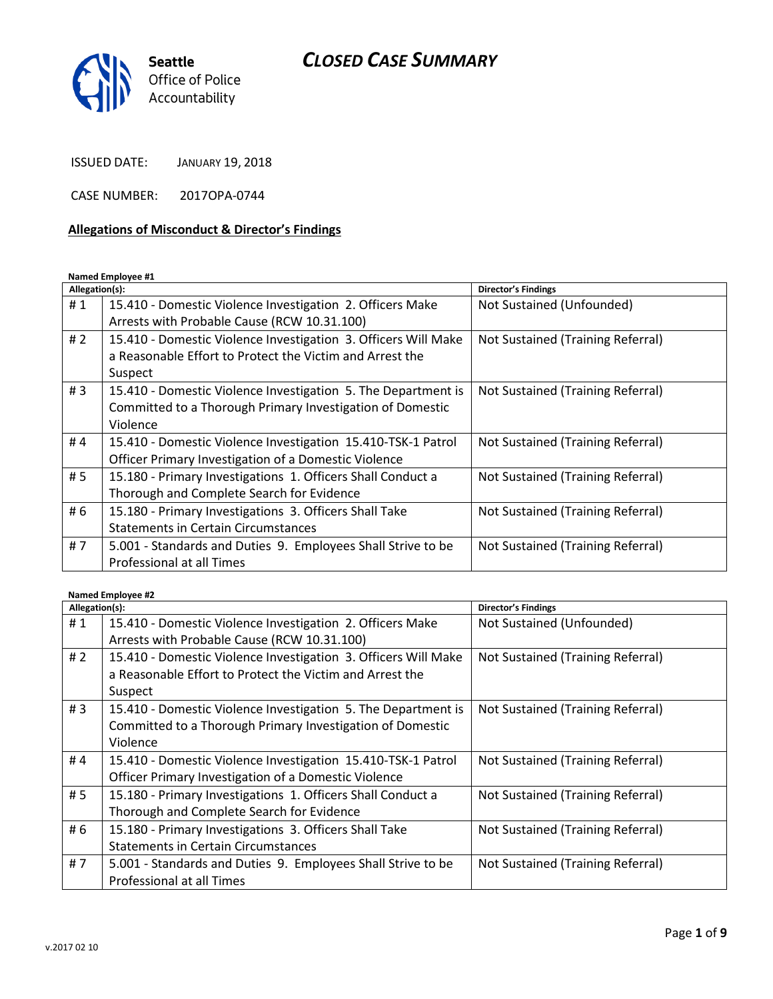## *CLOSED CASE SUMMARY*



ISSUED DATE: JANUARY 19, 2018

CASE NUMBER: 2017OPA-0744

#### **Allegations of Misconduct & Director's Findings**

**Named Employee #1**

| Allegation(s): |                                                                                                                                        | <b>Director's Findings</b>        |
|----------------|----------------------------------------------------------------------------------------------------------------------------------------|-----------------------------------|
| #1             | 15.410 - Domestic Violence Investigation 2. Officers Make                                                                              | Not Sustained (Unfounded)         |
|                | Arrests with Probable Cause (RCW 10.31.100)                                                                                            |                                   |
| #2             | 15.410 - Domestic Violence Investigation 3. Officers Will Make<br>a Reasonable Effort to Protect the Victim and Arrest the<br>Suspect  | Not Sustained (Training Referral) |
| #3             | 15.410 - Domestic Violence Investigation 5. The Department is<br>Committed to a Thorough Primary Investigation of Domestic<br>Violence | Not Sustained (Training Referral) |
| #4             | 15.410 - Domestic Violence Investigation 15.410-TSK-1 Patrol<br>Officer Primary Investigation of a Domestic Violence                   | Not Sustained (Training Referral) |
| #5             | 15.180 - Primary Investigations 1. Officers Shall Conduct a<br>Thorough and Complete Search for Evidence                               | Not Sustained (Training Referral) |
| # 6            | 15.180 - Primary Investigations 3. Officers Shall Take<br><b>Statements in Certain Circumstances</b>                                   | Not Sustained (Training Referral) |
| #7             | 5.001 - Standards and Duties 9. Employees Shall Strive to be<br>Professional at all Times                                              | Not Sustained (Training Referral) |

#### **Named Employee #2**

| Allegation(s): |                                                                | Director's Findings               |
|----------------|----------------------------------------------------------------|-----------------------------------|
| #1             | 15.410 - Domestic Violence Investigation 2. Officers Make      | Not Sustained (Unfounded)         |
|                | Arrests with Probable Cause (RCW 10.31.100)                    |                                   |
| #2             | 15.410 - Domestic Violence Investigation 3. Officers Will Make | Not Sustained (Training Referral) |
|                | a Reasonable Effort to Protect the Victim and Arrest the       |                                   |
|                | Suspect                                                        |                                   |
| #3             | 15.410 - Domestic Violence Investigation 5. The Department is  | Not Sustained (Training Referral) |
|                | Committed to a Thorough Primary Investigation of Domestic      |                                   |
|                | Violence                                                       |                                   |
| #4             | 15.410 - Domestic Violence Investigation 15.410-TSK-1 Patrol   | Not Sustained (Training Referral) |
|                | Officer Primary Investigation of a Domestic Violence           |                                   |
| # 5            | 15.180 - Primary Investigations 1. Officers Shall Conduct a    | Not Sustained (Training Referral) |
|                | Thorough and Complete Search for Evidence                      |                                   |
| #6             | 15.180 - Primary Investigations 3. Officers Shall Take         | Not Sustained (Training Referral) |
|                | <b>Statements in Certain Circumstances</b>                     |                                   |
| #7             | 5.001 - Standards and Duties 9. Employees Shall Strive to be   | Not Sustained (Training Referral) |
|                | Professional at all Times                                      |                                   |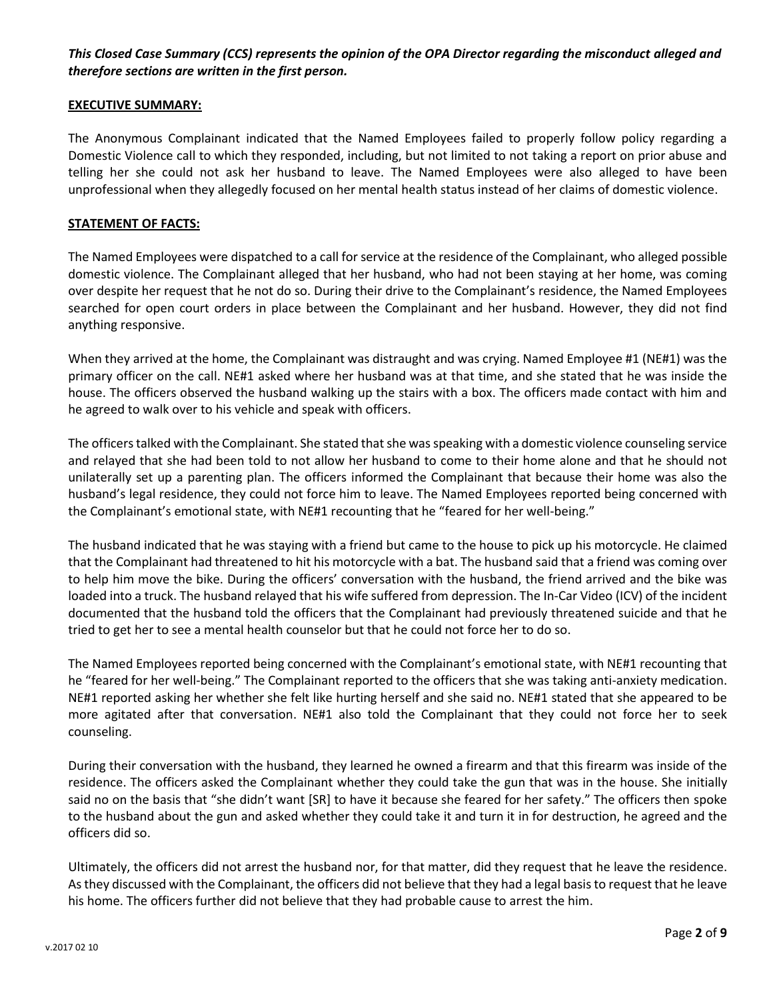#### *This Closed Case Summary (CCS) represents the opinion of the OPA Director regarding the misconduct alleged and therefore sections are written in the first person.*

#### **EXECUTIVE SUMMARY:**

The Anonymous Complainant indicated that the Named Employees failed to properly follow policy regarding a Domestic Violence call to which they responded, including, but not limited to not taking a report on prior abuse and telling her she could not ask her husband to leave. The Named Employees were also alleged to have been unprofessional when they allegedly focused on her mental health status instead of her claims of domestic violence.

#### **STATEMENT OF FACTS:**

The Named Employees were dispatched to a call for service at the residence of the Complainant, who alleged possible domestic violence. The Complainant alleged that her husband, who had not been staying at her home, was coming over despite her request that he not do so. During their drive to the Complainant's residence, the Named Employees searched for open court orders in place between the Complainant and her husband. However, they did not find anything responsive.

When they arrived at the home, the Complainant was distraught and was crying. Named Employee #1 (NE#1) was the primary officer on the call. NE#1 asked where her husband was at that time, and she stated that he was inside the house. The officers observed the husband walking up the stairs with a box. The officers made contact with him and he agreed to walk over to his vehicle and speak with officers.

The officers talked with the Complainant. She stated that she was speaking with a domestic violence counseling service and relayed that she had been told to not allow her husband to come to their home alone and that he should not unilaterally set up a parenting plan. The officers informed the Complainant that because their home was also the husband's legal residence, they could not force him to leave. The Named Employees reported being concerned with the Complainant's emotional state, with NE#1 recounting that he "feared for her well-being."

The husband indicated that he was staying with a friend but came to the house to pick up his motorcycle. He claimed that the Complainant had threatened to hit his motorcycle with a bat. The husband said that a friend was coming over to help him move the bike. During the officers' conversation with the husband, the friend arrived and the bike was loaded into a truck. The husband relayed that his wife suffered from depression. The In-Car Video (ICV) of the incident documented that the husband told the officers that the Complainant had previously threatened suicide and that he tried to get her to see a mental health counselor but that he could not force her to do so.

The Named Employees reported being concerned with the Complainant's emotional state, with NE#1 recounting that he "feared for her well-being." The Complainant reported to the officers that she was taking anti-anxiety medication. NE#1 reported asking her whether she felt like hurting herself and she said no. NE#1 stated that she appeared to be more agitated after that conversation. NE#1 also told the Complainant that they could not force her to seek counseling.

During their conversation with the husband, they learned he owned a firearm and that this firearm was inside of the residence. The officers asked the Complainant whether they could take the gun that was in the house. She initially said no on the basis that "she didn't want [SR] to have it because she feared for her safety." The officers then spoke to the husband about the gun and asked whether they could take it and turn it in for destruction, he agreed and the officers did so.

Ultimately, the officers did not arrest the husband nor, for that matter, did they request that he leave the residence. As they discussed with the Complainant, the officers did not believe that they had a legal basis to request that he leave his home. The officers further did not believe that they had probable cause to arrest the him.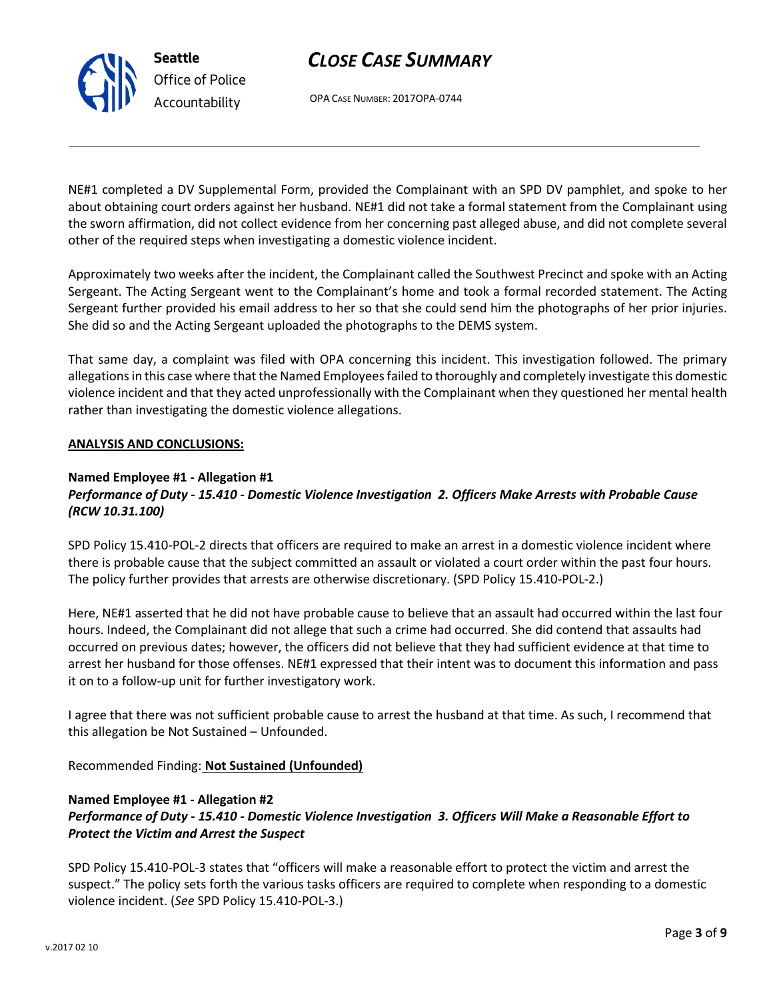## *CLOSE CASE SUMMARY*

OPA CASE NUMBER: 2017OPA-0744

NE#1 completed a DV Supplemental Form, provided the Complainant with an SPD DV pamphlet, and spoke to her about obtaining court orders against her husband. NE#1 did not take a formal statement from the Complainant using the sworn affirmation, did not collect evidence from her concerning past alleged abuse, and did not complete several other of the required steps when investigating a domestic violence incident.

Approximately two weeks after the incident, the Complainant called the Southwest Precinct and spoke with an Acting Sergeant. The Acting Sergeant went to the Complainant's home and took a formal recorded statement. The Acting Sergeant further provided his email address to her so that she could send him the photographs of her prior injuries. She did so and the Acting Sergeant uploaded the photographs to the DEMS system.

That same day, a complaint was filed with OPA concerning this incident. This investigation followed. The primary allegations in this case where that the Named Employees failed to thoroughly and completely investigate this domestic violence incident and that they acted unprofessionally with the Complainant when they questioned her mental health rather than investigating the domestic violence allegations.

#### **ANALYSIS AND CONCLUSIONS:**

# **Named Employee #1 - Allegation #1**

#### *Performance of Duty - 15.410 - Domestic Violence Investigation 2. Officers Make Arrests with Probable Cause (RCW 10.31.100)*

SPD Policy 15.410-POL-2 directs that officers are required to make an arrest in a domestic violence incident where there is probable cause that the subject committed an assault or violated a court order within the past four hours. The policy further provides that arrests are otherwise discretionary. (SPD Policy 15.410-POL-2.)

Here, NE#1 asserted that he did not have probable cause to believe that an assault had occurred within the last four hours. Indeed, the Complainant did not allege that such a crime had occurred. She did contend that assaults had occurred on previous dates; however, the officers did not believe that they had sufficient evidence at that time to arrest her husband for those offenses. NE#1 expressed that their intent was to document this information and pass it on to a follow-up unit for further investigatory work.

I agree that there was not sufficient probable cause to arrest the husband at that time. As such, I recommend that this allegation be Not Sustained – Unfounded.

Recommended Finding: **Not Sustained (Unfounded)**

#### **Named Employee #1 - Allegation #2**

#### *Performance of Duty - 15.410 - Domestic Violence Investigation 3. Officers Will Make a Reasonable Effort to Protect the Victim and Arrest the Suspect*

SPD Policy 15.410-POL-3 states that "officers will make a reasonable effort to protect the victim and arrest the suspect." The policy sets forth the various tasks officers are required to complete when responding to a domestic violence incident. (*See* SPD Policy 15.410-POL-3.)



**Seattle** *Office of Police Accountability*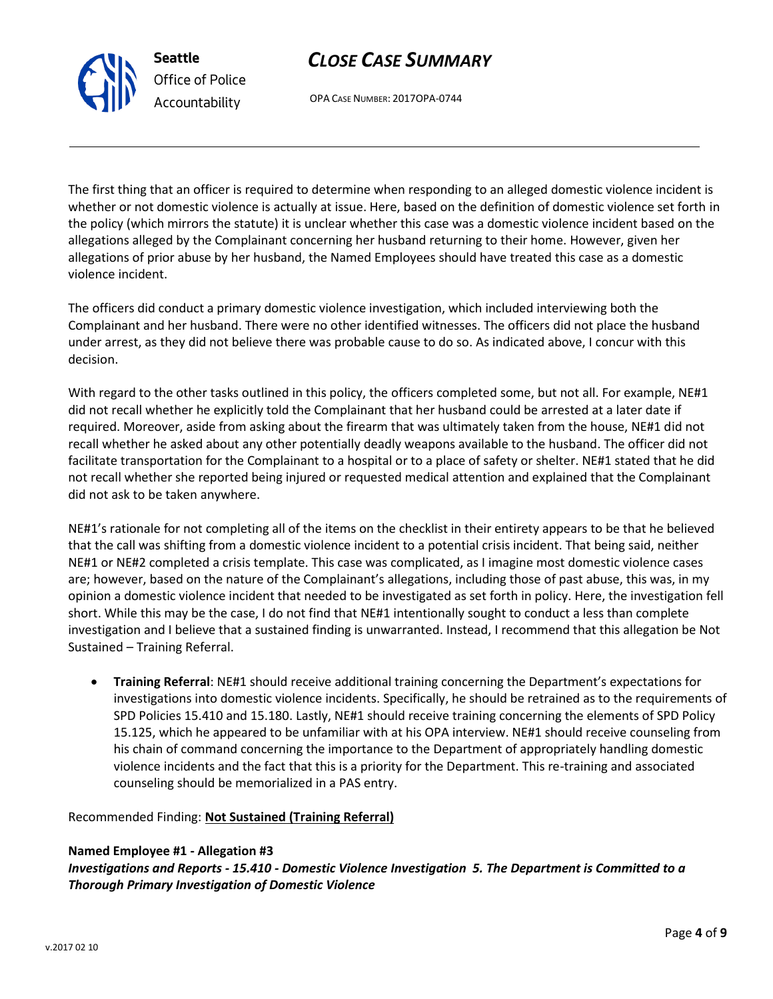## *CLOSE CASE SUMMARY*

OPA CASE NUMBER: 2017OPA-0744

The first thing that an officer is required to determine when responding to an alleged domestic violence incident is whether or not domestic violence is actually at issue. Here, based on the definition of domestic violence set forth in the policy (which mirrors the statute) it is unclear whether this case was a domestic violence incident based on the allegations alleged by the Complainant concerning her husband returning to their home. However, given her allegations of prior abuse by her husband, the Named Employees should have treated this case as a domestic violence incident.

The officers did conduct a primary domestic violence investigation, which included interviewing both the Complainant and her husband. There were no other identified witnesses. The officers did not place the husband under arrest, as they did not believe there was probable cause to do so. As indicated above, I concur with this decision.

With regard to the other tasks outlined in this policy, the officers completed some, but not all. For example, NE#1 did not recall whether he explicitly told the Complainant that her husband could be arrested at a later date if required. Moreover, aside from asking about the firearm that was ultimately taken from the house, NE#1 did not recall whether he asked about any other potentially deadly weapons available to the husband. The officer did not facilitate transportation for the Complainant to a hospital or to a place of safety or shelter. NE#1 stated that he did not recall whether she reported being injured or requested medical attention and explained that the Complainant did not ask to be taken anywhere.

NE#1's rationale for not completing all of the items on the checklist in their entirety appears to be that he believed that the call was shifting from a domestic violence incident to a potential crisis incident. That being said, neither NE#1 or NE#2 completed a crisis template. This case was complicated, as I imagine most domestic violence cases are; however, based on the nature of the Complainant's allegations, including those of past abuse, this was, in my opinion a domestic violence incident that needed to be investigated as set forth in policy. Here, the investigation fell short. While this may be the case, I do not find that NE#1 intentionally sought to conduct a less than complete investigation and I believe that a sustained finding is unwarranted. Instead, I recommend that this allegation be Not Sustained – Training Referral.

 **Training Referral**: NE#1 should receive additional training concerning the Department's expectations for investigations into domestic violence incidents. Specifically, he should be retrained as to the requirements of SPD Policies 15.410 and 15.180. Lastly, NE#1 should receive training concerning the elements of SPD Policy 15.125, which he appeared to be unfamiliar with at his OPA interview. NE#1 should receive counseling from his chain of command concerning the importance to the Department of appropriately handling domestic violence incidents and the fact that this is a priority for the Department. This re-training and associated counseling should be memorialized in a PAS entry.

Recommended Finding: **Not Sustained (Training Referral)**

#### **Named Employee #1 - Allegation #3**

*Investigations and Reports - 15.410 - Domestic Violence Investigation 5. The Department is Committed to a Thorough Primary Investigation of Domestic Violence*



**Seattle**

*Office of Police Accountability*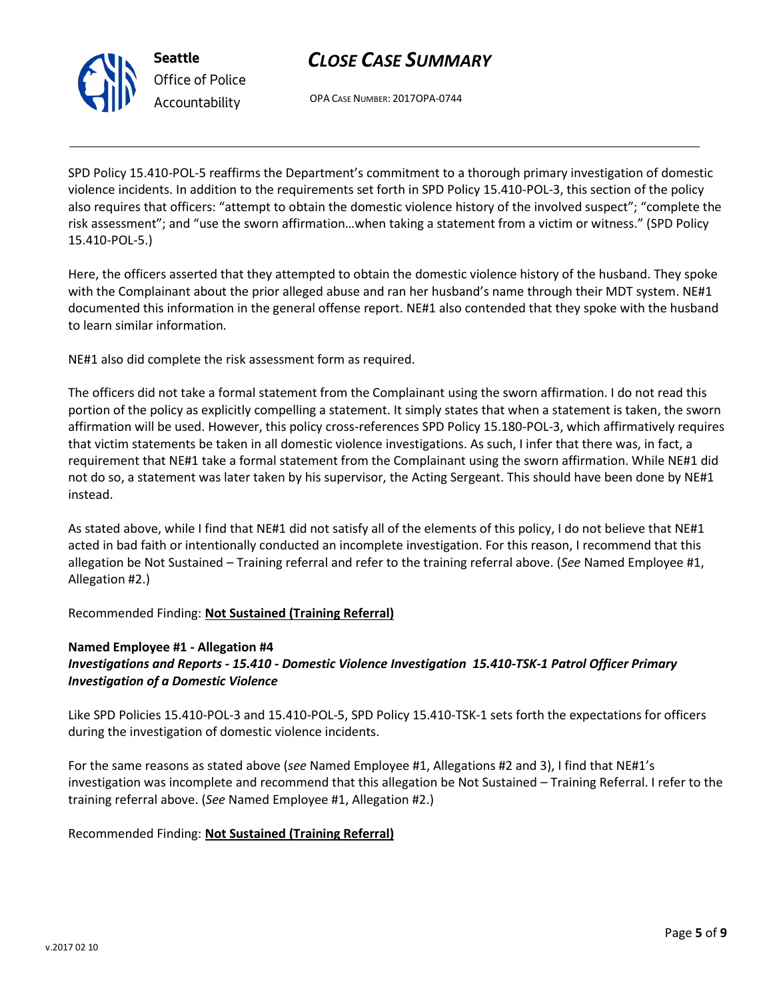

# *Office of Police Accountability*

## *CLOSE CASE SUMMARY*

OPA CASE NUMBER: 2017OPA-0744

SPD Policy 15.410-POL-5 reaffirms the Department's commitment to a thorough primary investigation of domestic violence incidents. In addition to the requirements set forth in SPD Policy 15.410-POL-3, this section of the policy also requires that officers: "attempt to obtain the domestic violence history of the involved suspect"; "complete the risk assessment"; and "use the sworn affirmation…when taking a statement from a victim or witness." (SPD Policy 15.410-POL-5.)

Here, the officers asserted that they attempted to obtain the domestic violence history of the husband. They spoke with the Complainant about the prior alleged abuse and ran her husband's name through their MDT system. NE#1 documented this information in the general offense report. NE#1 also contended that they spoke with the husband to learn similar information.

NE#1 also did complete the risk assessment form as required.

The officers did not take a formal statement from the Complainant using the sworn affirmation. I do not read this portion of the policy as explicitly compelling a statement. It simply states that when a statement is taken, the sworn affirmation will be used. However, this policy cross-references SPD Policy 15.180-POL-3, which affirmatively requires that victim statements be taken in all domestic violence investigations. As such, I infer that there was, in fact, a requirement that NE#1 take a formal statement from the Complainant using the sworn affirmation. While NE#1 did not do so, a statement was later taken by his supervisor, the Acting Sergeant. This should have been done by NE#1 instead.

As stated above, while I find that NE#1 did not satisfy all of the elements of this policy, I do not believe that NE#1 acted in bad faith or intentionally conducted an incomplete investigation. For this reason, I recommend that this allegation be Not Sustained – Training referral and refer to the training referral above. (*See* Named Employee #1, Allegation #2.)

Recommended Finding: **Not Sustained (Training Referral)**

#### **Named Employee #1 - Allegation #4**

#### *Investigations and Reports - 15.410 - Domestic Violence Investigation 15.410-TSK-1 Patrol Officer Primary Investigation of a Domestic Violence*

Like SPD Policies 15.410-POL-3 and 15.410-POL-5, SPD Policy 15.410-TSK-1 sets forth the expectations for officers during the investigation of domestic violence incidents.

For the same reasons as stated above (*see* Named Employee #1, Allegations #2 and 3), I find that NE#1's investigation was incomplete and recommend that this allegation be Not Sustained – Training Referral. I refer to the training referral above. (*See* Named Employee #1, Allegation #2.)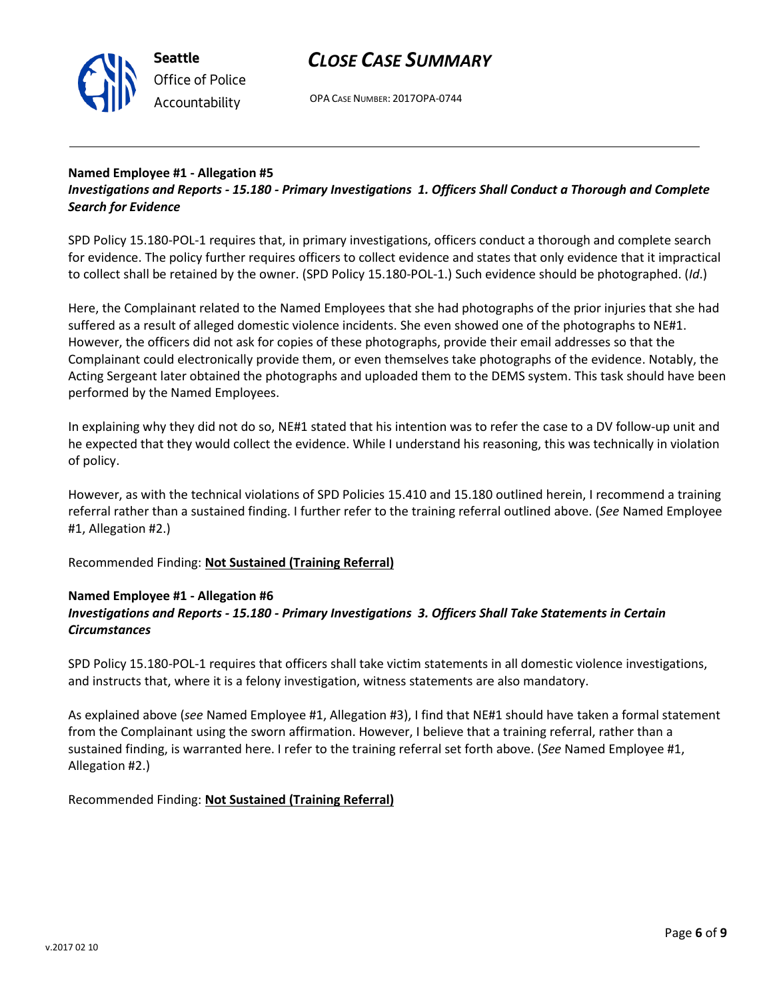



OPA CASE NUMBER: 2017OPA-0744

#### **Named Employee #1 - Allegation #5**

*Investigations and Reports - 15.180 - Primary Investigations 1. Officers Shall Conduct a Thorough and Complete Search for Evidence*

SPD Policy 15.180-POL-1 requires that, in primary investigations, officers conduct a thorough and complete search for evidence. The policy further requires officers to collect evidence and states that only evidence that it impractical to collect shall be retained by the owner. (SPD Policy 15.180-POL-1.) Such evidence should be photographed. (*Id*.)

Here, the Complainant related to the Named Employees that she had photographs of the prior injuries that she had suffered as a result of alleged domestic violence incidents. She even showed one of the photographs to NE#1. However, the officers did not ask for copies of these photographs, provide their email addresses so that the Complainant could electronically provide them, or even themselves take photographs of the evidence. Notably, the Acting Sergeant later obtained the photographs and uploaded them to the DEMS system. This task should have been performed by the Named Employees.

In explaining why they did not do so, NE#1 stated that his intention was to refer the case to a DV follow-up unit and he expected that they would collect the evidence. While I understand his reasoning, this was technically in violation of policy.

However, as with the technical violations of SPD Policies 15.410 and 15.180 outlined herein, I recommend a training referral rather than a sustained finding. I further refer to the training referral outlined above. (*See* Named Employee #1, Allegation #2.)

Recommended Finding: **Not Sustained (Training Referral)**

#### **Named Employee #1 - Allegation #6** *Investigations and Reports - 15.180 - Primary Investigations 3. Officers Shall Take Statements in Certain Circumstances*

SPD Policy 15.180-POL-1 requires that officers shall take victim statements in all domestic violence investigations, and instructs that, where it is a felony investigation, witness statements are also mandatory.

As explained above (*see* Named Employee #1, Allegation #3), I find that NE#1 should have taken a formal statement from the Complainant using the sworn affirmation. However, I believe that a training referral, rather than a sustained finding, is warranted here. I refer to the training referral set forth above. (*See* Named Employee #1, Allegation #2.)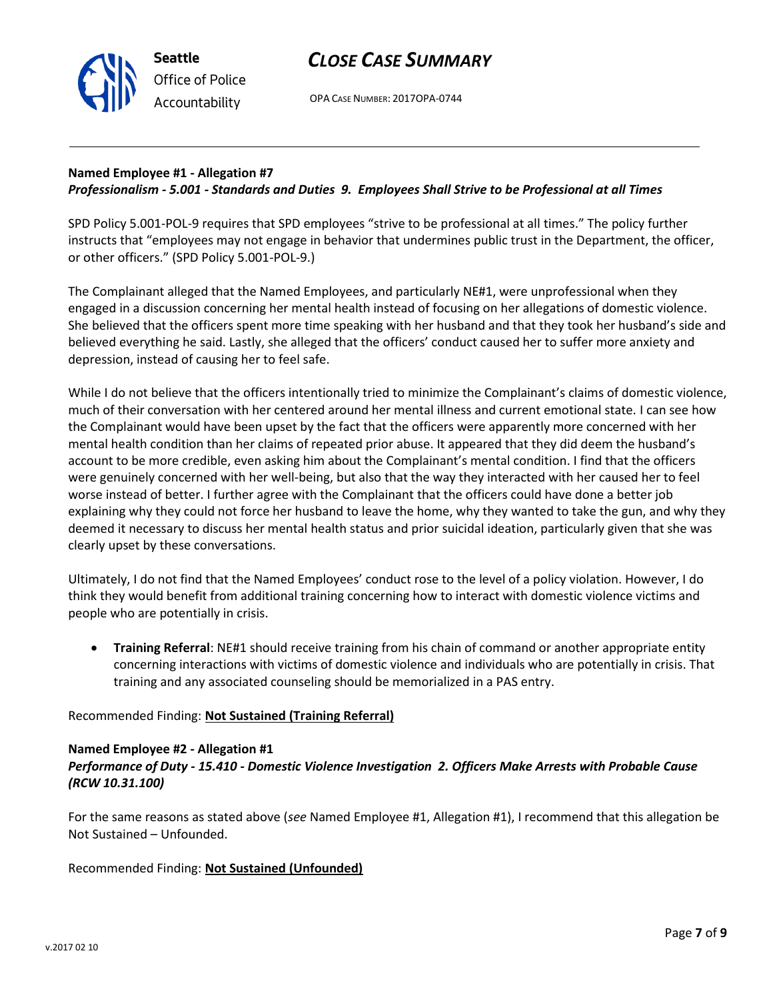

OPA CASE NUMBER: 2017OPA-0744

#### **Named Employee #1 - Allegation #7** *Professionalism - 5.001 - Standards and Duties 9. Employees Shall Strive to be Professional at all Times*

SPD Policy 5.001-POL-9 requires that SPD employees "strive to be professional at all times." The policy further instructs that "employees may not engage in behavior that undermines public trust in the Department, the officer, or other officers." (SPD Policy 5.001-POL-9.)

The Complainant alleged that the Named Employees, and particularly NE#1, were unprofessional when they engaged in a discussion concerning her mental health instead of focusing on her allegations of domestic violence. She believed that the officers spent more time speaking with her husband and that they took her husband's side and believed everything he said. Lastly, she alleged that the officers' conduct caused her to suffer more anxiety and depression, instead of causing her to feel safe.

While I do not believe that the officers intentionally tried to minimize the Complainant's claims of domestic violence, much of their conversation with her centered around her mental illness and current emotional state. I can see how the Complainant would have been upset by the fact that the officers were apparently more concerned with her mental health condition than her claims of repeated prior abuse. It appeared that they did deem the husband's account to be more credible, even asking him about the Complainant's mental condition. I find that the officers were genuinely concerned with her well-being, but also that the way they interacted with her caused her to feel worse instead of better. I further agree with the Complainant that the officers could have done a better job explaining why they could not force her husband to leave the home, why they wanted to take the gun, and why they deemed it necessary to discuss her mental health status and prior suicidal ideation, particularly given that she was clearly upset by these conversations.

Ultimately, I do not find that the Named Employees' conduct rose to the level of a policy violation. However, I do think they would benefit from additional training concerning how to interact with domestic violence victims and people who are potentially in crisis.

 **Training Referral**: NE#1 should receive training from his chain of command or another appropriate entity concerning interactions with victims of domestic violence and individuals who are potentially in crisis. That training and any associated counseling should be memorialized in a PAS entry.

#### Recommended Finding: **Not Sustained (Training Referral)**

#### **Named Employee #2 - Allegation #1**

#### *Performance of Duty - 15.410 - Domestic Violence Investigation 2. Officers Make Arrests with Probable Cause (RCW 10.31.100)*

For the same reasons as stated above (*see* Named Employee #1, Allegation #1), I recommend that this allegation be Not Sustained – Unfounded.

Recommended Finding: **Not Sustained (Unfounded)**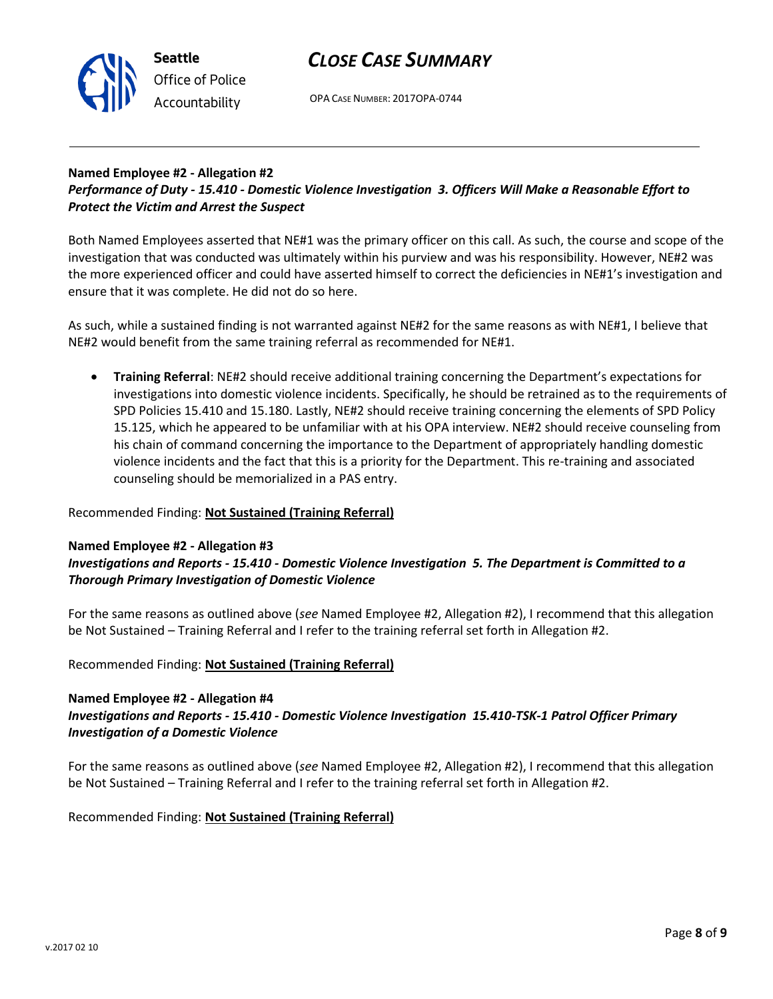## *CLOSE CASE SUMMARY*



OPA CASE NUMBER: 2017OPA-0744

#### **Named Employee #2 - Allegation #2** *Performance of Duty - 15.410 - Domestic Violence Investigation 3. Officers Will Make a Reasonable Effort to Protect the Victim and Arrest the Suspect*

Both Named Employees asserted that NE#1 was the primary officer on this call. As such, the course and scope of the investigation that was conducted was ultimately within his purview and was his responsibility. However, NE#2 was the more experienced officer and could have asserted himself to correct the deficiencies in NE#1's investigation and ensure that it was complete. He did not do so here.

As such, while a sustained finding is not warranted against NE#2 for the same reasons as with NE#1, I believe that NE#2 would benefit from the same training referral as recommended for NE#1.

 **Training Referral**: NE#2 should receive additional training concerning the Department's expectations for investigations into domestic violence incidents. Specifically, he should be retrained as to the requirements of SPD Policies 15.410 and 15.180. Lastly, NE#2 should receive training concerning the elements of SPD Policy 15.125, which he appeared to be unfamiliar with at his OPA interview. NE#2 should receive counseling from his chain of command concerning the importance to the Department of appropriately handling domestic violence incidents and the fact that this is a priority for the Department. This re-training and associated counseling should be memorialized in a PAS entry.

#### Recommended Finding: **Not Sustained (Training Referral)**

#### **Named Employee #2 - Allegation #3**

#### *Investigations and Reports - 15.410 - Domestic Violence Investigation 5. The Department is Committed to a Thorough Primary Investigation of Domestic Violence*

For the same reasons as outlined above (*see* Named Employee #2, Allegation #2), I recommend that this allegation be Not Sustained – Training Referral and I refer to the training referral set forth in Allegation #2.

#### Recommended Finding: **Not Sustained (Training Referral)**

#### **Named Employee #2 - Allegation #4** *Investigations and Reports - 15.410 - Domestic Violence Investigation 15.410-TSK-1 Patrol Officer Primary Investigation of a Domestic Violence*

For the same reasons as outlined above (*see* Named Employee #2, Allegation #2), I recommend that this allegation be Not Sustained – Training Referral and I refer to the training referral set forth in Allegation #2.